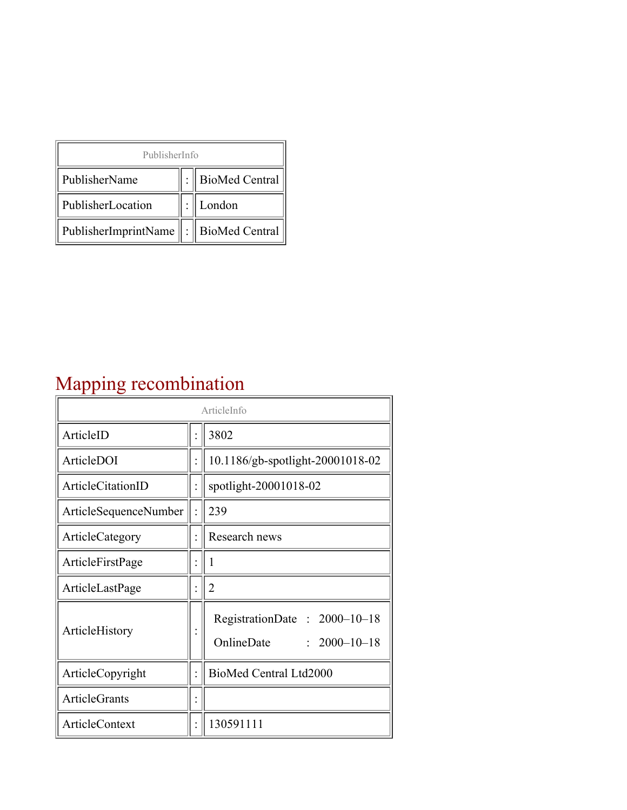| PublisherInfo                                   |  |                    |  |  |
|-------------------------------------------------|--|--------------------|--|--|
| PublisherName                                   |  | :   BioMed Central |  |  |
| PublisherLocation                               |  | London             |  |  |
| PublisherImprintName $\ \cdot\ $ BioMed Central |  |                    |  |  |

## Mapping recombination

| ArticleInfo                  |  |                                                                  |
|------------------------------|--|------------------------------------------------------------------|
| ArticleID                    |  | 3802                                                             |
| ArticleDOI                   |  | 10.1186/gb-spotlight-20001018-02                                 |
| <b>ArticleCitationID</b>     |  | spotlight-20001018-02                                            |
| <b>ArticleSequenceNumber</b> |  | 239                                                              |
| ArticleCategory              |  | Research news                                                    |
| ArticleFirstPage             |  | 1                                                                |
| ArticleLastPage              |  | $\overline{2}$                                                   |
| ArticleHistory               |  | RegistrationDate: 2000-10-18<br>OnlineDate<br>$: 2000 - 10 - 18$ |
| ArticleCopyright             |  | BioMed Central Ltd2000                                           |
| <b>ArticleGrants</b>         |  |                                                                  |
| <b>ArticleContext</b>        |  | 130591111                                                        |